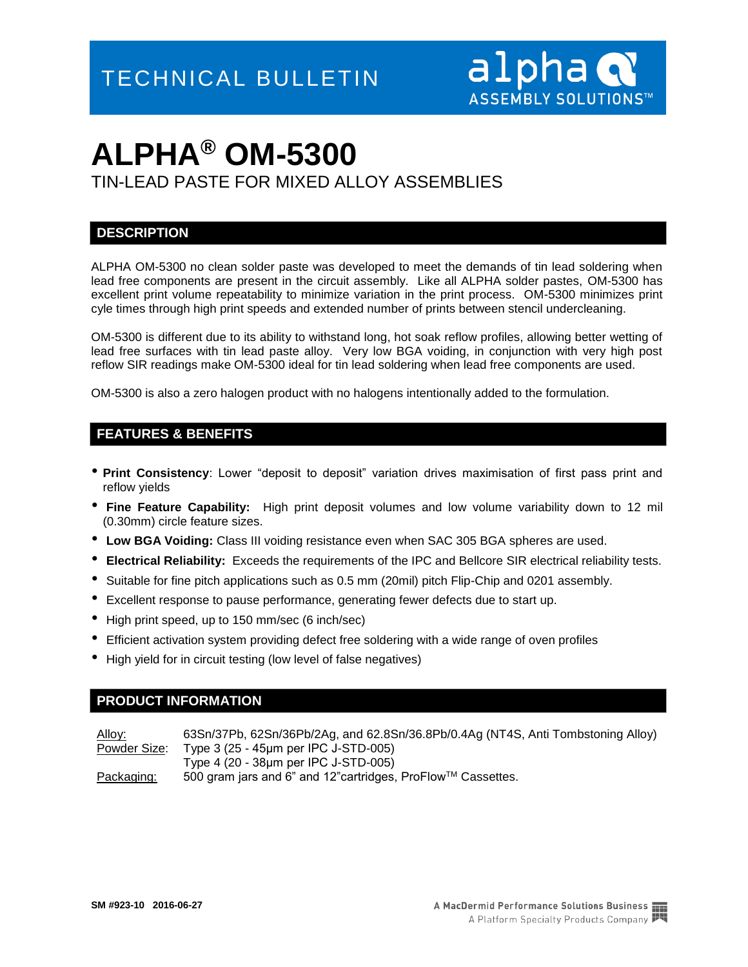TIN-LEAD PASTE FOR MIXED ALLOY ASSEMBLIES

#### **DESCRIPTION**

ALPHA OM-5300 no clean solder paste was developed to meet the demands of tin lead soldering when lead free components are present in the circuit assembly. Like all ALPHA solder pastes, OM-5300 has excellent print volume repeatability to minimize variation in the print process. OM-5300 minimizes print cyle times through high print speeds and extended number of prints between stencil undercleaning.

OM-5300 is different due to its ability to withstand long, hot soak reflow profiles, allowing better wetting of lead free surfaces with tin lead paste alloy. Very low BGA voiding, in conjunction with very high post reflow SIR readings make OM-5300 ideal for tin lead soldering when lead free components are used.

OM-5300 is also a zero halogen product with no halogens intentionally added to the formulation.

#### **FEATURES & BENEFITS**

- **Print Consistency**: Lower "deposit to deposit" variation drives maximisation of first pass print and reflow yields
- **Fine Feature Capability:** High print deposit volumes and low volume variability down to 12 mil (0.30mm) circle feature sizes.
- **Low BGA Voiding:** Class III voiding resistance even when SAC 305 BGA spheres are used.
- **Electrical Reliability:** Exceeds the requirements of the IPC and Bellcore SIR electrical reliability tests.
- Suitable for fine pitch applications such as 0.5 mm (20mil) pitch Flip-Chip and 0201 assembly.
- Excellent response to pause performance, generating fewer defects due to start up.
- High print speed, up to 150 mm/sec (6 inch/sec)
- Efficient activation system providing defect free soldering with a wide range of oven profiles
- High yield for in circuit testing (low level of false negatives)

#### **PRODUCT INFORMATION**

Alloy: 63Sn/37Pb, 62Sn/36Pb/2Ag, and 62.8Sn/36.8Pb/0.4Ag (NT4S, Anti Tombstoning Alloy) Powder Size: Type 3 (25 - 45μm per IPC J-STD-005) Type 4 (20 - 38μm per IPC J-STD-005) Packaging: 500 gram jars and 6" and 12" cartridges, ProFlow™ Cassettes.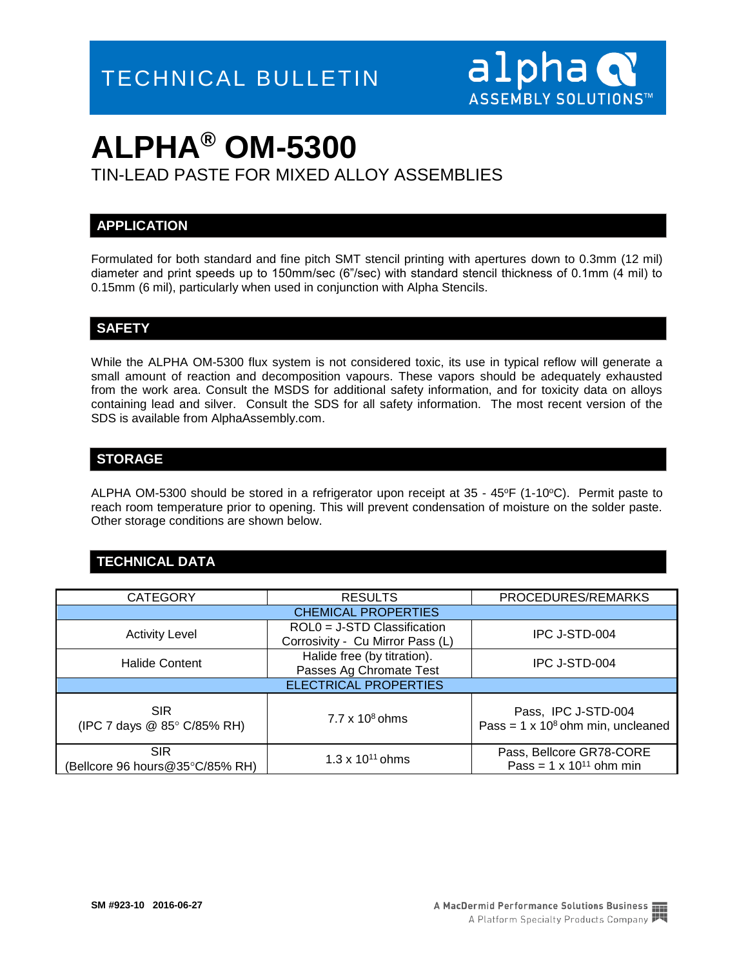

TIN-LEAD PASTE FOR MIXED ALLOY ASSEMBLIES

#### **APPLICATION**

Formulated for both standard and fine pitch SMT stencil printing with apertures down to 0.3mm (12 mil) diameter and print speeds up to 150mm/sec (6"/sec) with standard stencil thickness of 0.1mm (4 mil) to 0.15mm (6 mil), particularly when used in conjunction with Alpha Stencils.

#### **SAFETY**

While the ALPHA OM-5300 flux system is not considered toxic, its use in typical reflow will generate a small amount of reaction and decomposition vapours. These vapors should be adequately exhausted from the work area. Consult the MSDS for additional safety information, and for toxicity data on alloys containing lead and silver. Consult the SDS for all safety information. The most recent version of the SDS is available from AlphaAssembly.com.

#### **STORAGE**

ALPHA OM-5300 should be stored in a refrigerator upon receipt at  $35 - 45$ °F (1-10°C). Permit paste to reach room temperature prior to opening. This will prevent condensation of moisture on the solder paste. Other storage conditions are shown below.

#### **TECHNICAL DATA**

| <b>CATEGORY</b>                               | <b>RESULTS</b>                                                    | PROCEDURES/REMARKS                                               |  |  |  |
|-----------------------------------------------|-------------------------------------------------------------------|------------------------------------------------------------------|--|--|--|
| <b>CHEMICAL PROPERTIES</b>                    |                                                                   |                                                                  |  |  |  |
| <b>Activity Level</b>                         | $ROL0 = J-STD$ Classification<br>Corrosivity - Cu Mirror Pass (L) | IPC J-STD-004                                                    |  |  |  |
| <b>Halide Content</b>                         | Halide free (by titration).<br>Passes Ag Chromate Test            | IPC J-STD-004                                                    |  |  |  |
| <b>ELECTRICAL PROPERTIES</b>                  |                                                                   |                                                                  |  |  |  |
| <b>SIR</b><br>(IPC 7 days @ 85° C/85% RH)     | $7.7 \times 10^8$ ohms                                            | Pass, IPC J-STD-004<br>Pass = $1 \times 10^8$ ohm min, uncleaned |  |  |  |
| <b>SIR</b><br>(Bellcore 96 hours@35°C/85% RH) | $1.3 \times 10^{11}$ ohms                                         | Pass, Bellcore GR78-CORE<br>Pass = $1 \times 10^{11}$ ohm min    |  |  |  |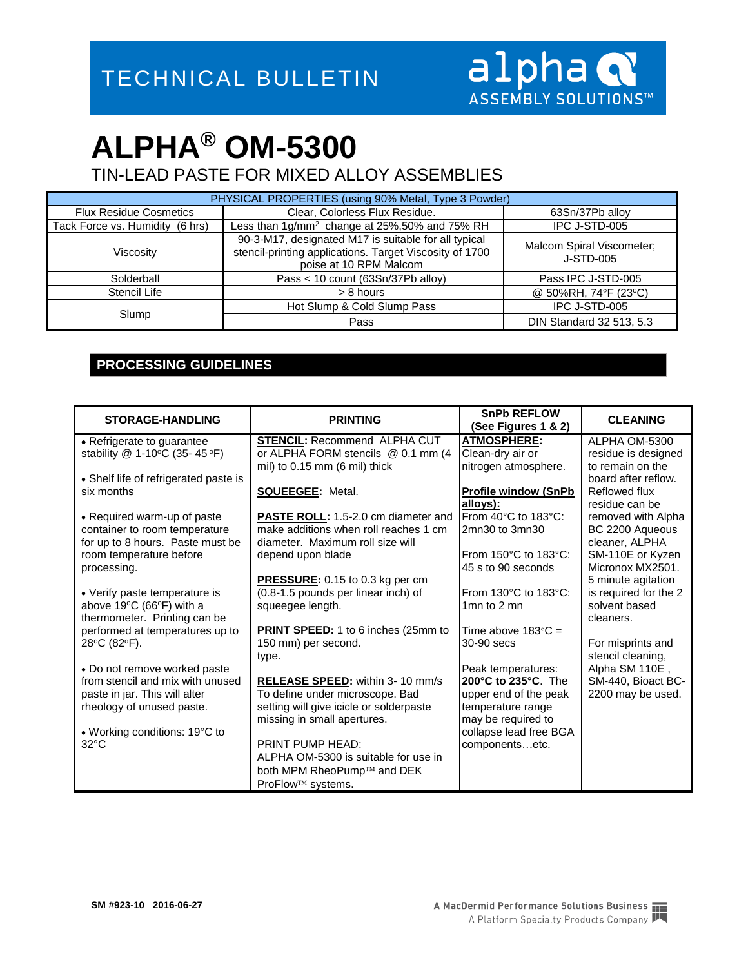TIN-LEAD PASTE FOR MIXED ALLOY ASSEMBLIES

| PHYSICAL PROPERTIES (using 90% Metal, Type 3 Powder) |                                                                                                                                           |                                        |  |  |
|------------------------------------------------------|-------------------------------------------------------------------------------------------------------------------------------------------|----------------------------------------|--|--|
| <b>Flux Residue Cosmetics</b>                        | Clear, Colorless Flux Residue.                                                                                                            | 63Sn/37Pb alloy                        |  |  |
| Tack Force vs. Humidity (6 hrs)                      | Less than 1g/mm <sup>2</sup> change at 25%,50% and 75% RH                                                                                 | IPC J-STD-005                          |  |  |
| Viscosity                                            | 90-3-M17, designated M17 is suitable for all typical<br>stencil-printing applications. Target Viscosity of 1700<br>poise at 10 RPM Malcom | Malcom Spiral Viscometer;<br>J-STD-005 |  |  |
| Solderball                                           | Pass < 10 count (63Sn/37Pb alloy)                                                                                                         | Pass IPC J-STD-005                     |  |  |
| Stencil Life                                         | > 8 hours                                                                                                                                 | @ 50%RH, 74°F (23°C)                   |  |  |
| Slump                                                | Hot Slump & Cold Slump Pass                                                                                                               | IPC J-STD-005                          |  |  |
|                                                      | Pass                                                                                                                                      | DIN Standard 32 513, 5.3               |  |  |

### **PROCESSING GUIDELINES**

| <b>STORAGE-HANDLING</b>                                                      | <b>PRINTING</b>                            | <b>SnPb REFLOW</b><br>(See Figures 1 & 2) | <b>CLEANING</b>                        |
|------------------------------------------------------------------------------|--------------------------------------------|-------------------------------------------|----------------------------------------|
| • Refrigerate to guarantee                                                   | <b>STENCIL: Recommend ALPHA CUT</b>        | <b>ATMOSPHERE:</b>                        | ALPHA OM-5300                          |
| stability @ 1-10°C (35- 45 °F)                                               | or ALPHA FORM stencils @ 0.1 mm (4         | Clean-dry air or                          | residue is designed                    |
|                                                                              | mil) to 0.15 mm (6 mil) thick              | nitrogen atmosphere.                      | to remain on the                       |
| • Shelf life of refrigerated paste is                                        |                                            |                                           | board after reflow.                    |
| six months                                                                   | <b>SQUEEGEE:</b> Metal.                    | <b>Profile window (SnPb)</b>              | <b>Reflowed flux</b>                   |
|                                                                              |                                            | alloys):                                  | residue can be                         |
| • Required warm-up of paste                                                  | <b>PASTE ROLL:</b> 1.5-2.0 cm diameter and | From $40^{\circ}$ C to $183^{\circ}$ C:   | removed with Alpha                     |
| container to room temperature                                                | make additions when roll reaches 1 cm      | 2mn30 to 3mn30                            | BC 2200 Aqueous                        |
| for up to 8 hours. Paste must be                                             | diameter. Maximum roll size will           |                                           | cleaner, ALPHA                         |
| room temperature before                                                      | depend upon blade                          | From 150°C to 183°C:                      | SM-110E or Kyzen                       |
| processing.                                                                  |                                            | 45 s to 90 seconds                        | Micronox MX2501.                       |
|                                                                              | PRESSURE: 0.15 to 0.3 kg per cm            |                                           | 5 minute agitation                     |
| • Verify paste temperature is                                                | (0.8-1.5 pounds per linear inch) of        | From 130°C to 183°C:<br>1 $mn$ to 2 $mn$  | is required for the 2<br>solvent based |
| above 19 $\degree$ C (66 $\degree$ F) with a<br>thermometer. Printing can be | squeegee length.                           |                                           | cleaners.                              |
| performed at temperatures up to                                              | <b>PRINT SPEED:</b> 1 to 6 inches (25mm to | Time above $183^{\circ}$ C =              |                                        |
| 28°C (82°F).                                                                 | 150 mm) per second.                        | 30-90 secs                                | For misprints and                      |
|                                                                              | type.                                      |                                           | stencil cleaning,                      |
| • Do not remove worked paste                                                 |                                            | Peak temperatures:                        | Alpha SM 110E,                         |
| from stencil and mix with unused                                             | <b>RELEASE SPEED:</b> within 3-10 mm/s     | 200°C to 235°C. The                       | SM-440, Bioact BC-                     |
| paste in jar. This will alter                                                | To define under microscope. Bad            | upper end of the peak                     | 2200 may be used.                      |
| rheology of unused paste.                                                    | setting will give icicle or solderpaste    | temperature range                         |                                        |
|                                                                              | missing in small apertures.                | may be required to                        |                                        |
| • Working conditions: 19°C to                                                |                                            | collapse lead free BGA                    |                                        |
| $32^{\circ}$ C                                                               | <b>PRINT PUMP HEAD:</b>                    | componentsetc.                            |                                        |
|                                                                              | ALPHA OM-5300 is suitable for use in       |                                           |                                        |
|                                                                              | both MPM RheoPump™ and DEK                 |                                           |                                        |
|                                                                              | ProFlow™ systems.                          |                                           |                                        |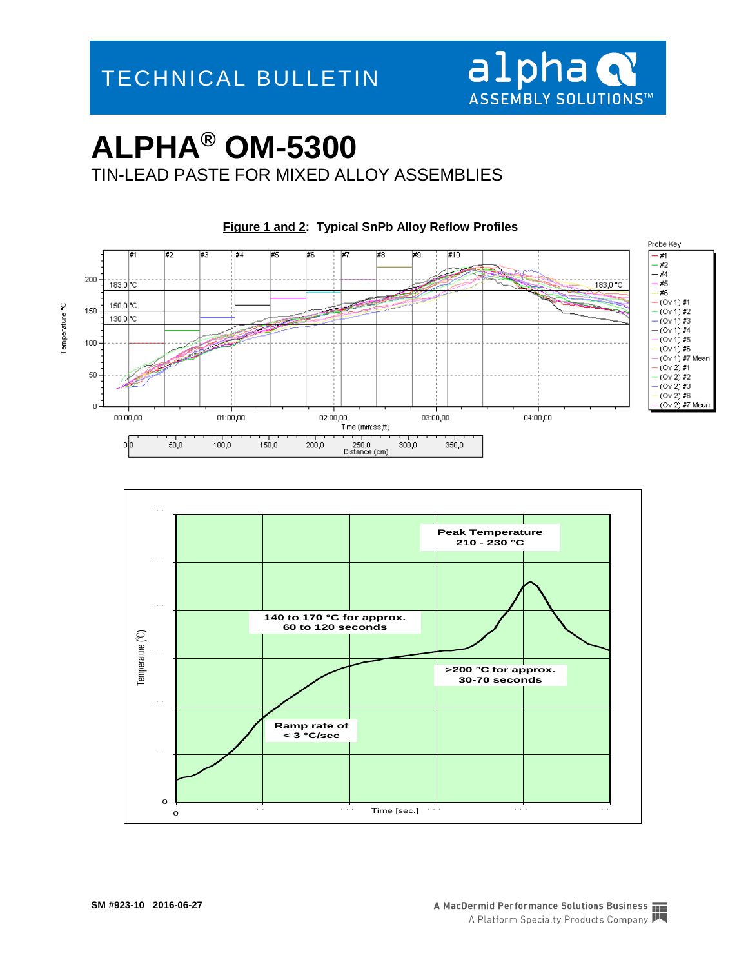

TIN-LEAD PASTE FOR MIXED ALLOY ASSEMBLIES